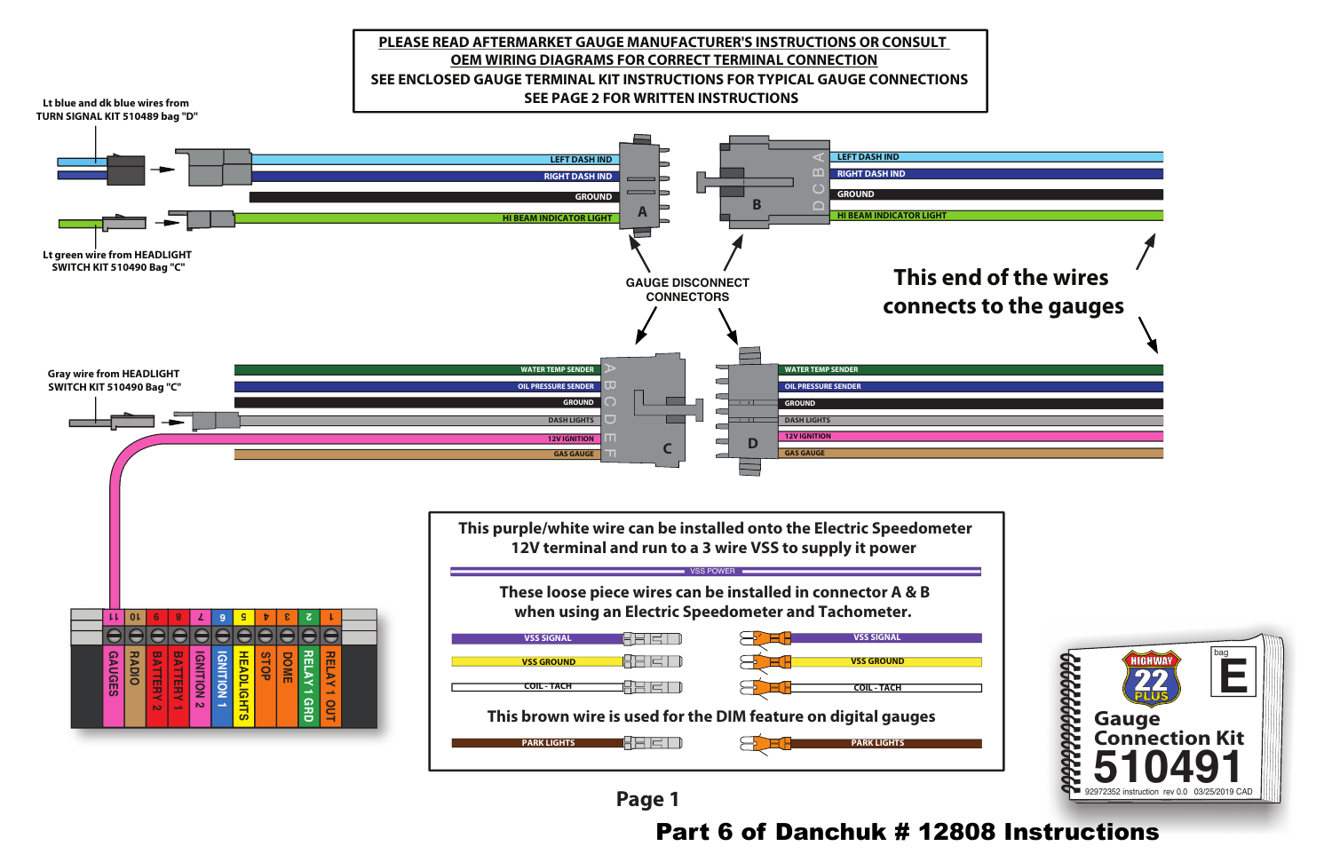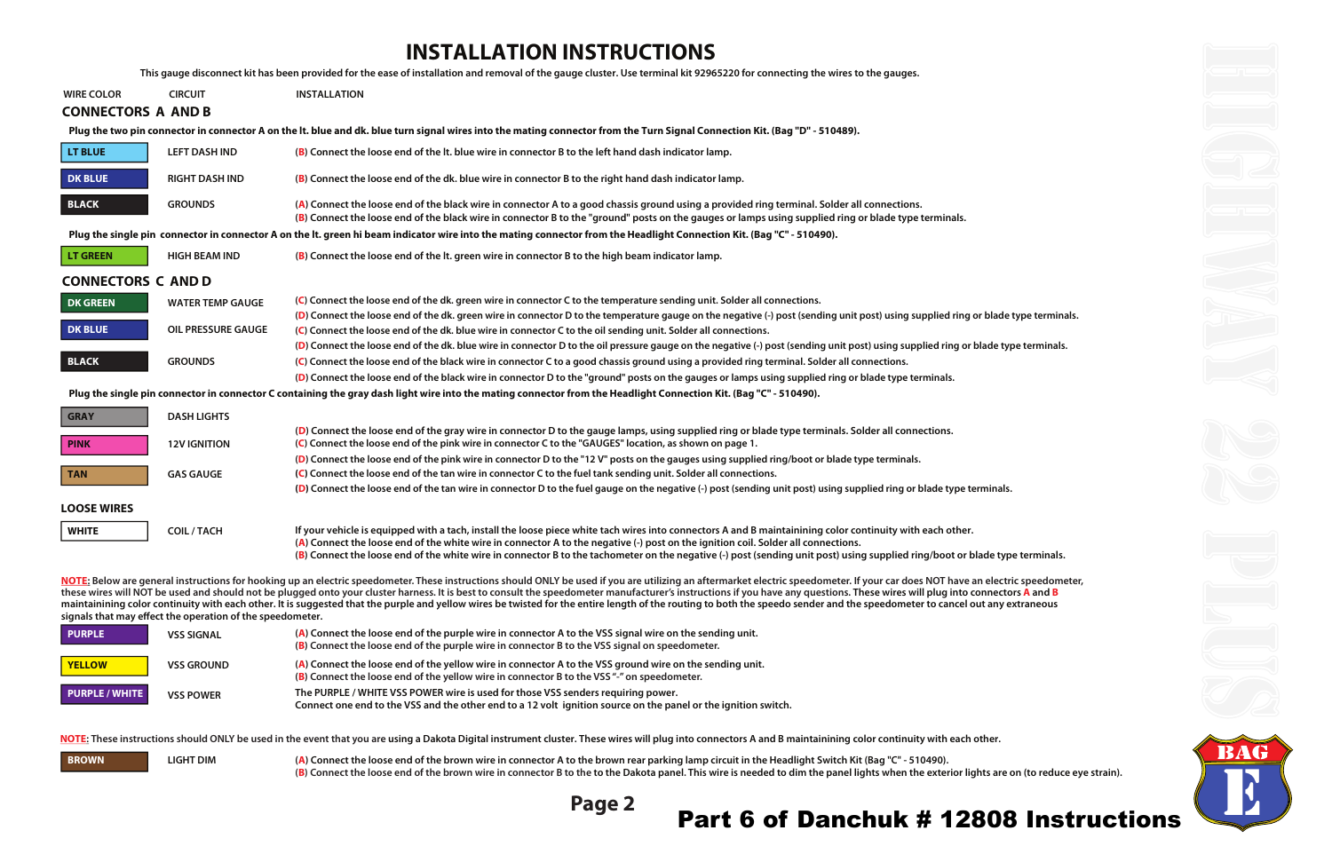## **INSTALLATION INSTRUCTIONS**

**This gauge disconnect kit has been provided for the ease of installation and removal of the gauge cluster. Use terminal kit 92965220 for connecting the wires to the gauges.**

**(B) Connect the loose end of the brown wire in connector B to the to the Dakota panel. This wire is needed to dim the panel lights when the exterior lights are on (to reduce eye strain).**





| <b>WIRE COLOR</b>         | <b>CIRCUIT</b>                                            | <b>INSTALLATION</b>                                                                                                                                                                                                                                                                                                                                                                                                                                                                                                                                                                                                                                                                        |
|---------------------------|-----------------------------------------------------------|--------------------------------------------------------------------------------------------------------------------------------------------------------------------------------------------------------------------------------------------------------------------------------------------------------------------------------------------------------------------------------------------------------------------------------------------------------------------------------------------------------------------------------------------------------------------------------------------------------------------------------------------------------------------------------------------|
| <b>CONNECTORS A AND B</b> |                                                           |                                                                                                                                                                                                                                                                                                                                                                                                                                                                                                                                                                                                                                                                                            |
|                           |                                                           | Plug the two pin connector in connector A on the It. blue and dk. blue turn signal wires into the mating connector from the Turn Signal Connection Kit. (Bag "D" - 510489).                                                                                                                                                                                                                                                                                                                                                                                                                                                                                                                |
| <b>LT BLUE</b>            | <b>LEFT DASH IND</b>                                      | (B) Connect the loose end of the lt. blue wire in connector B to the left hand dash indicator lamp.                                                                                                                                                                                                                                                                                                                                                                                                                                                                                                                                                                                        |
| <b>DK BLUE</b>            | <b>RIGHT DASH IND</b>                                     | (B) Connect the loose end of the dk. blue wire in connector B to the right hand dash indicator lamp.                                                                                                                                                                                                                                                                                                                                                                                                                                                                                                                                                                                       |
| <b>BLACK</b>              | <b>GROUNDS</b>                                            | (A) Connect the loose end of the black wire in connector A to a good chassis ground using a provided ring terminal. Solder all connections.<br>(B) Connect the loose end of the black wire in connector B to the "ground" posts on the gauges or lamps using supplied ring or blade type terminals.                                                                                                                                                                                                                                                                                                                                                                                        |
|                           |                                                           | Plug the single pin connector in connector A on the It. green hi beam indicator wire into the mating connector from the Headlight Connection Kit. (Bag "C" - 510490).                                                                                                                                                                                                                                                                                                                                                                                                                                                                                                                      |
| <b>LT GREEN</b>           | <b>HIGH BEAM IND</b>                                      | (B) Connect the loose end of the lt. green wire in connector B to the high beam indicator lamp.                                                                                                                                                                                                                                                                                                                                                                                                                                                                                                                                                                                            |
| <b>CONNECTORS C AND D</b> |                                                           |                                                                                                                                                                                                                                                                                                                                                                                                                                                                                                                                                                                                                                                                                            |
| <b>DK GREEN</b>           | <b>WATER TEMP GAUGE</b>                                   | (C) Connect the loose end of the dk. green wire in connector C to the temperature sending unit. Solder all connections.                                                                                                                                                                                                                                                                                                                                                                                                                                                                                                                                                                    |
| <b>DK BLUE</b>            | <b>OIL PRESSURE GAUGE</b>                                 | (D) Connect the loose end of the dk. green wire in connector D to the temperature gauge on the negative (-) post (sending unit post) using supplied ring or blade type termi<br>(C) Connect the loose end of the dk. blue wire in connector C to the oil sending unit. Solder all connections.                                                                                                                                                                                                                                                                                                                                                                                             |
|                           |                                                           | (D) Connect the loose end of the dk. blue wire in connector D to the oil pressure gauge on the negative (-) post (sending unit post) using supplied ring or blade type termina                                                                                                                                                                                                                                                                                                                                                                                                                                                                                                             |
| <b>BLACK</b>              | <b>GROUNDS</b>                                            | (C) Connect the loose end of the black wire in connector C to a good chassis ground using a provided ring terminal. Solder all connections.                                                                                                                                                                                                                                                                                                                                                                                                                                                                                                                                                |
|                           |                                                           | (D) Connect the loose end of the black wire in connector D to the "ground" posts on the gauges or lamps using supplied ring or blade type terminals.                                                                                                                                                                                                                                                                                                                                                                                                                                                                                                                                       |
|                           |                                                           | Plug the single pin connector in connector C containing the gray dash light wire into the mating connector from the Headlight Connection Kit. (Bag "C" - 510490).                                                                                                                                                                                                                                                                                                                                                                                                                                                                                                                          |
| <b>GRAY</b>               | <b>DASH LIGHTS</b>                                        |                                                                                                                                                                                                                                                                                                                                                                                                                                                                                                                                                                                                                                                                                            |
| <b>PINK</b>               | <b>12V IGNITION</b>                                       | (D) Connect the loose end of the gray wire in connector D to the gauge lamps, using supplied ring or blade type terminals. Solder all connections.<br>(C) Connect the loose end of the pink wire in connector C to the "GAUGES" location, as shown on page 1.                                                                                                                                                                                                                                                                                                                                                                                                                              |
|                           |                                                           | (D) Connect the loose end of the pink wire in connector D to the "12 V" posts on the gauges using supplied ring/boot or blade type terminals.                                                                                                                                                                                                                                                                                                                                                                                                                                                                                                                                              |
| <b>TAN</b>                | <b>GAS GAUGE</b>                                          | (C) Connect the loose end of the tan wire in connector C to the fuel tank sending unit. Solder all connections.                                                                                                                                                                                                                                                                                                                                                                                                                                                                                                                                                                            |
|                           |                                                           | (D) Connect the loose end of the tan wire in connector D to the fuel gauge on the negative (-) post (sending unit post) using supplied ring or blade type terminals.                                                                                                                                                                                                                                                                                                                                                                                                                                                                                                                       |
| <b>LOOSE WIRES</b>        |                                                           |                                                                                                                                                                                                                                                                                                                                                                                                                                                                                                                                                                                                                                                                                            |
| <b>WHITE</b>              | <b>COIL/TACH</b>                                          | If your vehicle is equipped with a tach, install the loose piece white tach wires into connectors A and B maintainining color continuity with each other.<br>(A) Connect the loose end of the white wire in connector A to the negative (-) post on the ignition coil. Solder all connections.<br>(B) Connect the loose end of the white wire in connector B to the tachometer on the negative (-) post (sending unit post) using supplied ring/boot or blade type terminal                                                                                                                                                                                                                |
|                           | signals that may effect the operation of the speedometer. | NOTE: Below are general instructions for hooking up an electric speedometer. These instructions should ONLY be used if you are utilizing an aftermarket electric speedometer. If your car does NOT have an electric speedon<br>these wires will NOT be used and should not be plugged onto your cluster harness. It is best to consult the speedometer manufacturer's instructions if you have any questions. These wires will plug into connectors A and B<br>maintainining color continuity with each other. It is suggested that the purple and yellow wires be twisted for the entire length of the routing to both the speedo sender and the speedometer to cancel out any extraneous |
| <b>PURPLE</b>             | <b>VSS SIGNAL</b>                                         | (A) Connect the loose end of the purple wire in connector A to the VSS signal wire on the sending unit.<br>(B) Connect the loose end of the purple wire in connector B to the VSS signal on speedometer.                                                                                                                                                                                                                                                                                                                                                                                                                                                                                   |
| <b>YELLOW</b>             | <b>VSS GROUND</b>                                         | (A) Connect the loose end of the yellow wire in connector A to the VSS ground wire on the sending unit.<br>(B) Connect the loose end of the yellow wire in connector B to the VSS "-" on speedometer.                                                                                                                                                                                                                                                                                                                                                                                                                                                                                      |
| <b>PURPLE / WHITE</b>     | <b>VSS POWER</b>                                          | The PURPLE / WHITE VSS POWER wire is used for those VSS senders requiring power.<br>Connect one end to the VSS and the other end to a 12 volt ignition source on the panel or the ignition switch.                                                                                                                                                                                                                                                                                                                                                                                                                                                                                         |
|                           |                                                           | NOTE: These instructions should ONLY be used in the event that you are using a Dakota Digital instrument cluster. These wires will plug into connectors A and B maintainining color continuity with each other.                                                                                                                                                                                                                                                                                                                                                                                                                                                                            |
| <b>BROWN</b>              | <b>LIGHT DIM</b>                                          | (A) Connect the loose end of the brown wire in connector A to the brown rear parking lamp circuit in the Headlight Switch Kit (Bag "C" - 510490).                                                                                                                                                                                                                                                                                                                                                                                                                                                                                                                                          |



## po the to the Dakota panel. This wire is needed to dim the panel lights when the exterior lights are on (to reduce eye strain).<br>**Page 2 Part 6 of Danchuk # 12808 Instructions**

**pr blade type terminals.** 

**blade type terminals.** 

**lade type terminals.** 

an electric speedometer,<br>onnectors **A** and **B**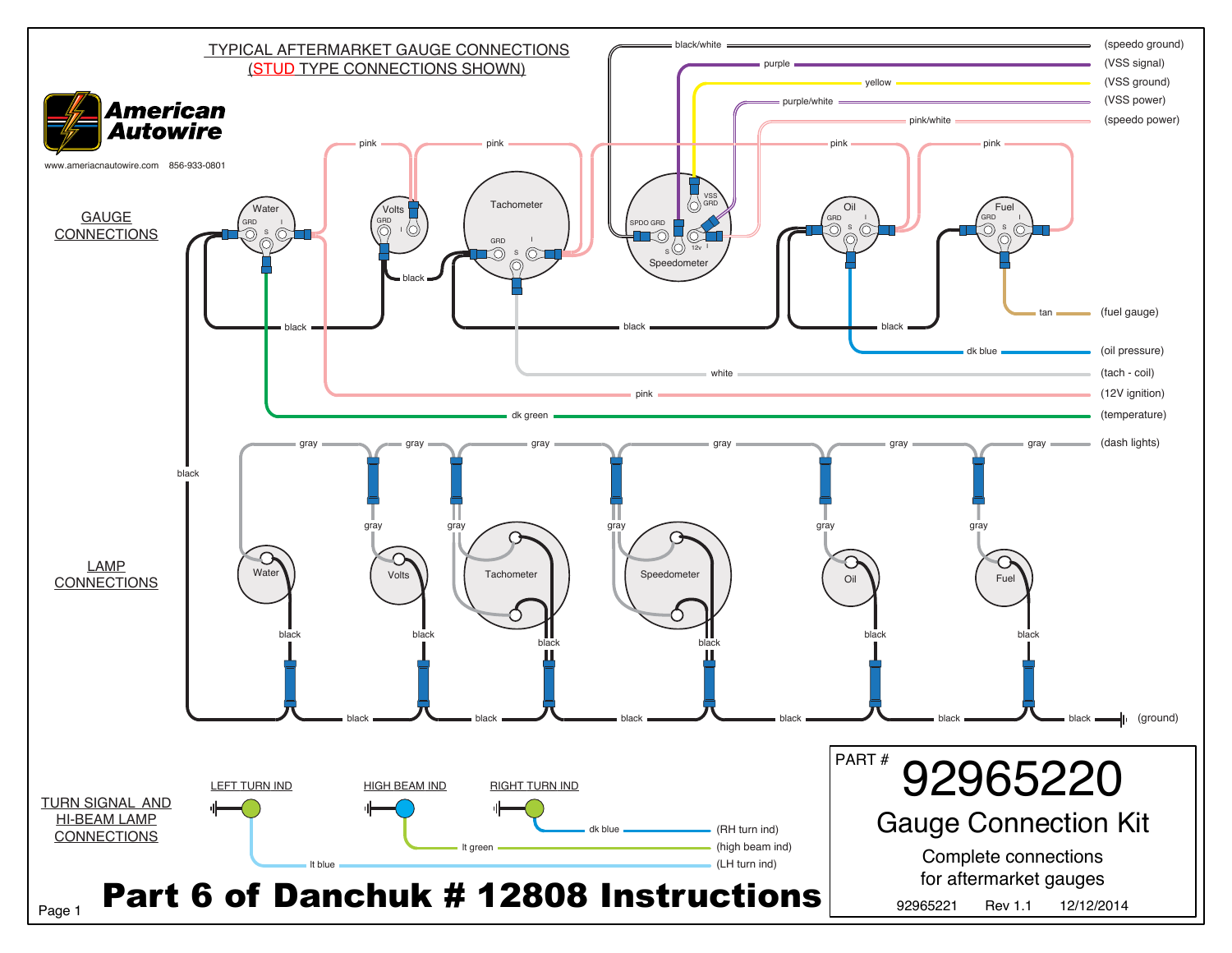